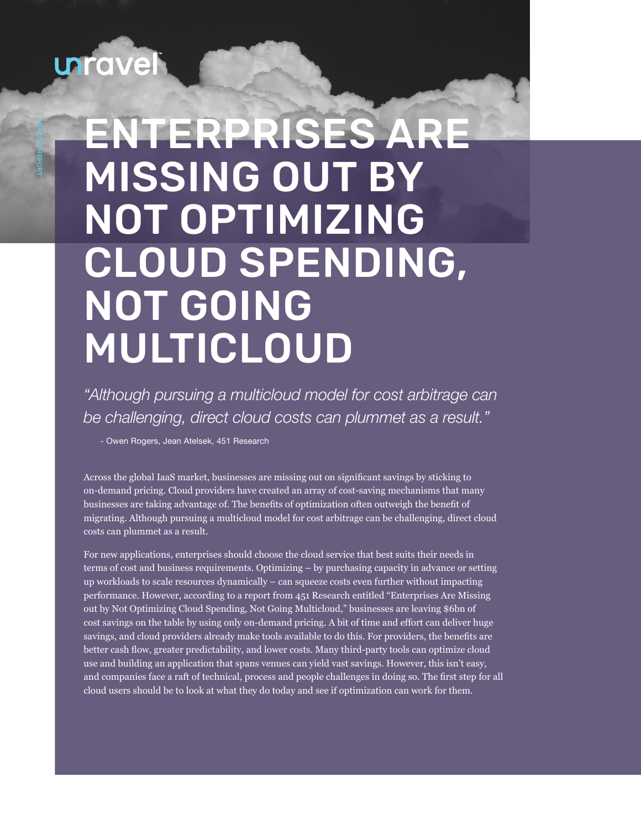# unravel

ANALYST REPORT

# ENTERPRISES ARE MISSING OUT BY NOT OPTIMIZING CLOUD SPENDING, NOT GOING MULTICLOUD

*"Although pursuing a multicloud model for cost arbitrage can be challenging, direct cloud costs can plummet as a result."*

- Owen Rogers, Jean Atelsek, 451 Research

Across the global IaaS market, businesses are missing out on significant savings by sticking to on-demand pricing. Cloud providers have created an array of cost-saving mechanisms that many businesses are taking advantage of. The benefits of optimization often outweigh the benefit of migrating. Although pursuing a multicloud model for cost arbitrage can be challenging, direct cloud costs can plummet as a result.

For new applications, enterprises should choose the cloud service that best suits their needs in terms of cost and business requirements. Optimizing – by purchasing capacity in advance or setting up workloads to scale resources dynamically – can squeeze costs even further without impacting performance. However, according to a report from 451 Research entitled "Enterprises Are Missing out by Not Optimizing Cloud Spending, Not Going Multicloud," businesses are leaving \$6bn of cost savings on the table by using only on-demand pricing. A bit of time and effort can deliver huge savings, and cloud providers already make tools available to do this. For providers, the benefits are better cash flow, greater predictability, and lower costs. Many third-party tools can optimize cloud use and building an application that spans venues can yield vast savings. However, this isn't easy, and companies face a raft of technical, process and people challenges in doing so. The first step for all cloud users should be to look at what they do today and see if optimization can work for them.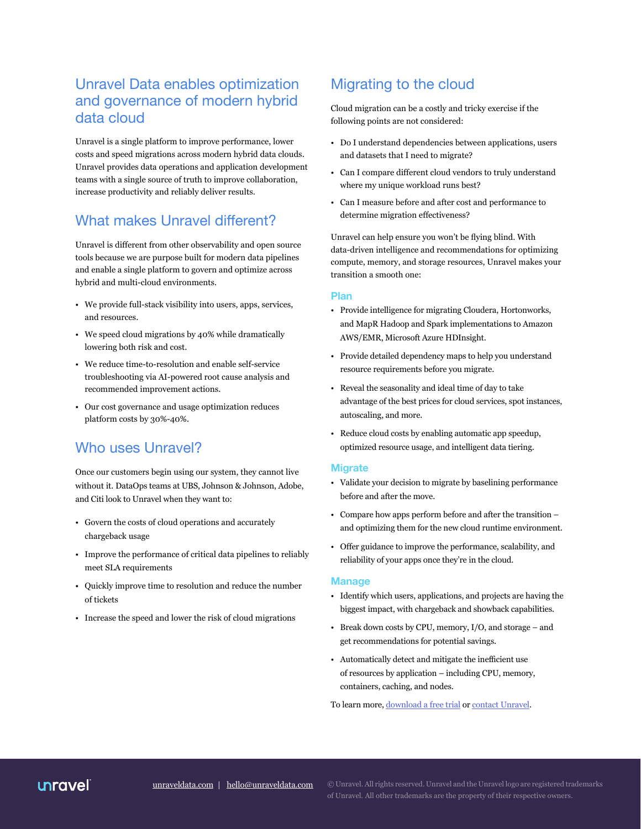# Unravel Data enables optimization and governance of modern hybrid data cloud

Unravel is a single platform to improve performance, lower costs and speed migrations across modern hybrid data clouds. Unravel provides data operations and application development teams with a single source of truth to improve collaboration, increase productivity and reliably deliver results.

# What makes Unravel different?

Unravel is different from other observability and open source tools because we are purpose built for modern data pipelines and enable a single platform to govern and optimize across hybrid and multi-cloud environments.

- We provide full-stack visibility into users, apps, services, and resources.
- We speed cloud migrations by 40% while dramatically lowering both risk and cost.
- We reduce time-to-resolution and enable self-service troubleshooting via AI-powered root cause analysis and recommended improvement actions.
- Our cost governance and usage optimization reduces platform costs by 30%-40%.

# Who uses Unravel?

Once our customers begin using our system, they cannot live without it. DataOps teams at UBS, Johnson & Johnson, Adobe, and Citi look to Unravel when they want to:

- Govern the costs of cloud operations and accurately chargeback usage
- Improve the performance of critical data pipelines to reliably meet SLA requirements
- Quickly improve time to resolution and reduce the number of tickets
- Increase the speed and lower the risk of cloud migrations

# Migrating to the cloud

Cloud migration can be a costly and tricky exercise if the following points are not considered:

- Do I understand dependencies between applications, users and datasets that I need to migrate?
- Can I compare different cloud vendors to truly understand where my unique workload runs best?
- Can I measure before and after cost and performance to determine migration effectiveness?

Unravel can help ensure you won't be flying blind. With data-driven intelligence and recommendations for optimizing compute, memory, and storage resources, Unravel makes your transition a smooth one:

### **Plan**

- Provide intelligence for migrating Cloudera, Hortonworks, and MapR Hadoop and Spark implementations to Amazon AWS/EMR, Microsoft Azure HDInsight.
- Provide detailed dependency maps to help you understand resource requirements before you migrate.
- Reveal the seasonality and ideal time of day to take advantage of the best prices for cloud services, spot instances, autoscaling, and more.
- Reduce cloud costs by enabling automatic app speedup, optimized resource usage, and intelligent data tiering.

### **Migrate**

- Validate your decision to migrate by baselining performance before and after the move.
- Compare how apps perform before and after the transition and optimizing them for the new cloud runtime environment.
- Offer guidance to improve the performance, scalability, and reliability of your apps once they're in the cloud.

### **Manage**

- Identify which users, applications, and projects are having the biggest impact, with chargeback and showback capabilities.
- Break down costs by CPU, memory, I/O, and storage and get recommendations for potential savings.
- Automatically detect and mitigate the inefficient use of resources by application – including CPU, memory, containers, caching, and nodes.

To learn more, [download a free trial](https://www.unraveldata.com/saas-free-trial/) or [contact Unravel](https://www.unraveldata.com/contact-us/).

## unravel

[unraveldata.com](http://www.unraveldata.com) | [hello@unraveldata.com](mailto:hello%40unraveldata.com?subject=)

© Unravel. All rights reserved. Unravel and the Unravel logo are registered trademarks of Unravel. All other trademarks are the property of their respective owners.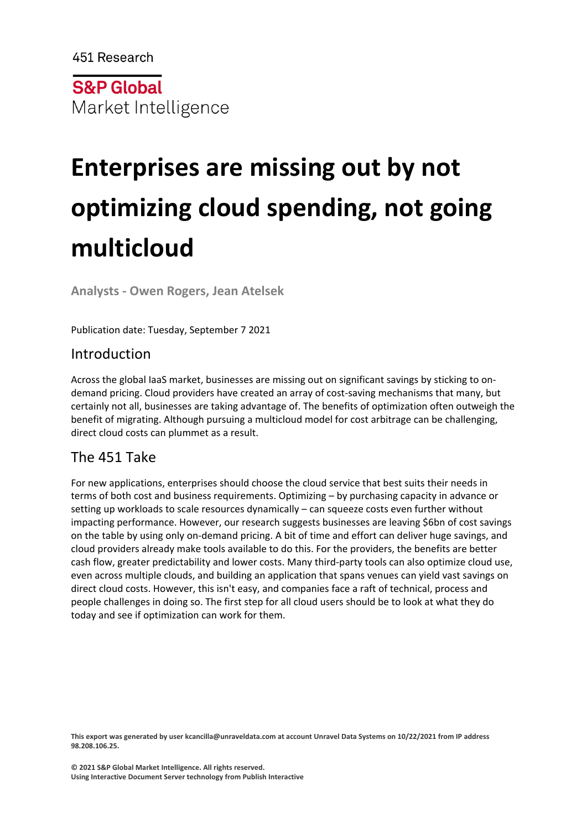451 Research

**S&P Global** Market Intelligence

# **Enterprises are missing out by not optimizing cloud spending, not going multicloud**

**Analysts - Owen Rogers, Jean Atelsek**

Publication date: Tuesday, September 7 2021

# Introduction

Across the global IaaS market, businesses are missing out on significant savings by sticking to ondemand pricing. Cloud providers have created an array of cost-saving mechanisms that many, but certainly not all, businesses are taking advantage of. The benefits of optimization often outweigh the benefit of migrating. Although pursuing a multicloud model for cost arbitrage can be challenging, direct cloud costs can plummet as a result.

# The 451 Take

For new applications, enterprises should choose the cloud service that best suits their needs in terms of both cost and business requirements. Optimizing – by purchasing capacity in advance or setting up workloads to scale resources dynamically – can squeeze costs even further without impacting performance. However, our research suggests businesses are leaving \$6bn of cost savings on the table by using only on-demand pricing. A bit of time and effort can deliver huge savings, and cloud providers already make tools available to do this. For the providers, the benefits are better cash flow, greater predictability and lower costs. Many third-party tools can also optimize cloud use, even across multiple clouds, and building an application that spans venues can yield vast savings on direct cloud costs. However, this isn't easy, and companies face a raft of technical, process and people challenges in doing so. The first step for all cloud users should be to look at what they do today and see if optimization can work for them.

**This export was generated by user kcancilla@unraveldata.com at account Unravel Data Systems on 10/22/2021 from IP address 98.208.106.25.**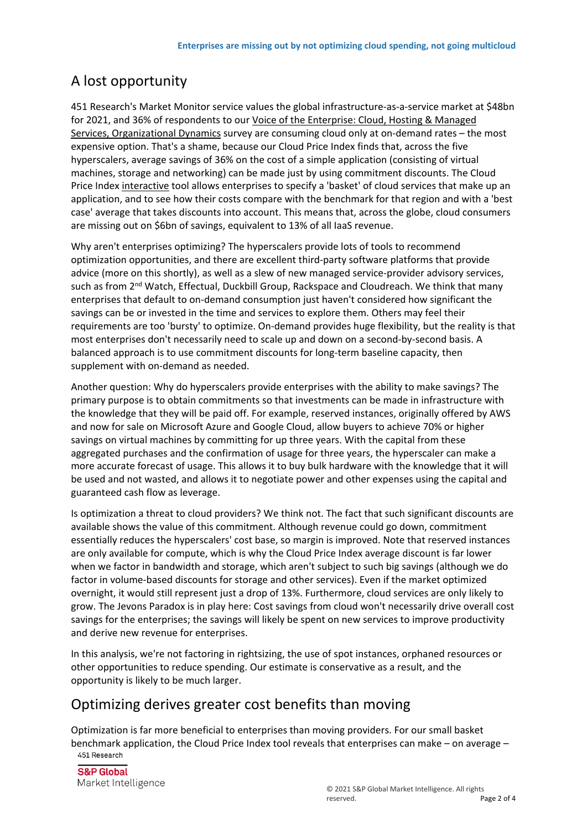# A lost opportunity

451 Research's Market Monitor service values the global infrastructure-as-a-service market at \$48bn for 2021, and 36% of respondents to our [Voice of the Enterprise: Cloud, Hosting & Managed](https://clients.451research.com/reports/100130)  [Services, Organizational Dynamics](https://clients.451research.com/reports/100130) survey are consuming cloud only at on-demand rates – the most expensive option. That's a shame, because our Cloud Price Index finds that, across the five hyperscalers, average savings of 36% on the cost of a simple application (consisting of virtual machines, storage and networking) can be made just by using commitment discounts. The Cloud Price Index [interactive](http://www.cloudpriceindex.com/) tool allows enterprises to specify a 'basket' of cloud services that make up an application, and to see how their costs compare with the benchmark for that region and with a 'best case' average that takes discounts into account. This means that, across the globe, cloud consumers are missing out on \$6bn of savings, equivalent to 13% of all IaaS revenue.

Why aren't enterprises optimizing? The hyperscalers provide lots of tools to recommend optimization opportunities, and there are excellent third-party software platforms that provide advice (more on this shortly), as well as a slew of new managed service-provider advisory services, such as from 2<sup>nd</sup> Watch, Effectual, Duckbill Group, Rackspace and Cloudreach. We think that many enterprises that default to on-demand consumption just haven't considered how significant the savings can be or invested in the time and services to explore them. Others may feel their requirements are too 'bursty' to optimize. On-demand provides huge flexibility, but the reality is that most enterprises don't necessarily need to scale up and down on a second-by-second basis. A balanced approach is to use commitment discounts for long-term baseline capacity, then supplement with on-demand as needed.

Another question: Why do hyperscalers provide enterprises with the ability to make savings? The primary purpose is to obtain commitments so that investments can be made in infrastructure with the knowledge that they will be paid off. For example, reserved instances, originally offered by AWS and now for sale on Microsoft Azure and Google Cloud, allow buyers to achieve 70% or higher savings on virtual machines by committing for up three years. With the capital from these aggregated purchases and the confirmation of usage for three years, the hyperscaler can make a more accurate forecast of usage. This allows it to buy bulk hardware with the knowledge that it will be used and not wasted, and allows it to negotiate power and other expenses using the capital and guaranteed cash flow as leverage.

Is optimization a threat to cloud providers? We think not. The fact that such significant discounts are available shows the value of this commitment. Although revenue could go down, commitment essentially reduces the hyperscalers' cost base, so margin is improved. Note that reserved instances are only available for compute, which is why the Cloud Price Index average discount is far lower when we factor in bandwidth and storage, which aren't subject to such big savings (although we do factor in volume-based discounts for storage and other services). Even if the market optimized overnight, it would still represent just a drop of 13%. Furthermore, cloud services are only likely to grow. The Jevons Paradox is in play here: Cost savings from cloud won't necessarily drive overall cost savings for the enterprises; the savings will likely be spent on new services to improve productivity and derive new revenue for enterprises.

In this analysis, we're not factoring in rightsizing, the use of spot instances, orphaned resources or other opportunities to reduce spending. Our estimate is conservative as a result, and the opportunity is likely to be much larger.

# Optimizing derives greater cost benefits than moving

Optimization is far more beneficial to enterprises than moving providers. For our small basket benchmark application, the Cloud Price Index tool reveals that enterprises can make – on average –

**S&P Global** Market Intelligence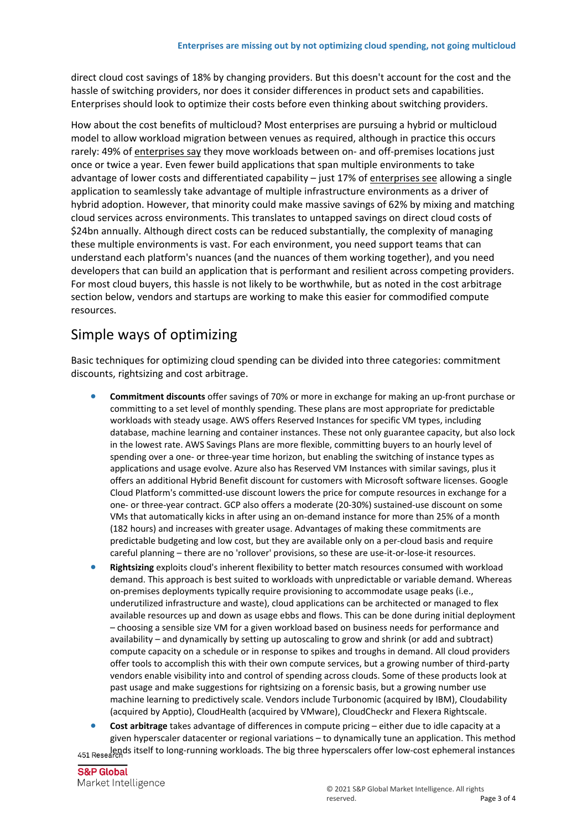direct cloud cost savings of 18% by changing providers. But this doesn't account for the cost and the hassle of switching providers, nor does it consider differences in product sets and capabilities. Enterprises should look to optimize their costs before even thinking about switching providers.

How about the cost benefits of multicloud? Most enterprises are pursuing a hybrid or multicloud model to allow workload migration between venues as required, although in practice this occurs rarely: 49% of [enterprises say](https://clients.451research.com/reports/102111) they move workloads between on- and off-premises locations just once or twice a year. Even fewer build applications that span multiple environments to take advantage of lower costs and differentiated capability – just 17% of [enterprises see](https://clients.451research.com/reports/97070) allowing a single application to seamlessly take advantage of multiple infrastructure environments as a driver of hybrid adoption. However, that minority could make massive savings of 62% by mixing and matching cloud services across environments. This translates to untapped savings on direct cloud costs of \$24bn annually. Although direct costs can be reduced substantially, the complexity of managing these multiple environments is vast. For each environment, you need support teams that can understand each platform's nuances (and the nuances of them working together), and you need developers that can build an application that is performant and resilient across competing providers. For most cloud buyers, this hassle is not likely to be worthwhile, but as noted in the cost arbitrage section below, vendors and startups are working to make this easier for commodified compute resources.

# Simple ways of optimizing

Basic techniques for optimizing cloud spending can be divided into three categories: commitment discounts, rightsizing and cost arbitrage.

- **Commitment discounts** offer savings of 70% or more in exchange for making an up-front purchase or committing to a set level of monthly spending. These plans are most appropriate for predictable workloads with steady usage. AWS offers Reserved Instances for specific VM types, including database, machine learning and container instances. These not only guarantee capacity, but also lock in the lowest rate. AWS Savings Plans are more flexible, committing buyers to an hourly level of spending over a one- or three-year time horizon, but enabling the switching of instance types as applications and usage evolve. Azure also has Reserved VM Instances with similar savings, plus it offers an additional Hybrid Benefit discount for customers with Microsoft software licenses. Google Cloud Platform's committed-use discount lowers the price for compute resources in exchange for a one- or three-year contract. GCP also offers a moderate (20-30%) sustained-use discount on some VMs that automatically kicks in after using an on-demand instance for more than 25% of a month (182 hours) and increases with greater usage. Advantages of making these commitments are predictable budgeting and low cost, but they are available only on a per-cloud basis and require careful planning – there are no 'rollover' provisions, so these are use-it-or-lose-it resources.
- **Rightsizing** exploits cloud's inherent flexibility to better match resources consumed with workload demand. This approach is best suited to workloads with unpredictable or variable demand. Whereas on-premises deployments typically require provisioning to accommodate usage peaks (i.e., underutilized infrastructure and waste), cloud applications can be architected or managed to flex available resources up and down as usage ebbs and flows. This can be done during initial deployment – choosing a sensible size VM for a given workload based on business needs for performance and availability – and dynamically by setting up autoscaling to grow and shrink (or add and subtract) compute capacity on a schedule or in response to spikes and troughs in demand. All cloud providers offer tools to accomplish this with their own compute services, but a growing number of third-party vendors enable visibility into and control of spending across clouds. Some of these products look at past usage and make suggestions for rightsizing on a forensic basis, but a growing number use machine learning to predictively scale. Vendors include Turbonomic (acquired by IBM), Cloudability (acquired by Apptio), CloudHealth (acquired by VMware), CloudCheckr and Flexera Rightscale.

 **Cost arbitrage** takes advantage of differences in compute pricing – either due to idle capacity at a given hyperscaler datacenter or regional variations – to dynamically tune an application. This method 451 Researchds itself to long-running workloads. The big three hyperscalers offer low-cost ephemeral instances